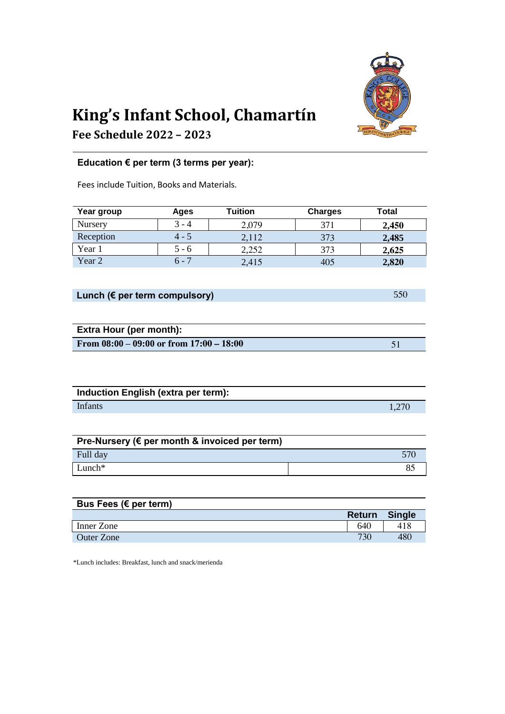

## **King's Infant School, Chamartín**

**Fee Schedule 2022 – 2023**

## **Education € per term (3 terms per year):**

Fees include Tuition, Books and Materials.

| Year group        | Ages    | Tuition | <b>Charges</b> | Total |
|-------------------|---------|---------|----------------|-------|
| Nursery           | $3 - 4$ | 2,079   | 371            | 2,450 |
| Reception         | $4 - 5$ | 2,112   | 373            | 2,485 |
| Year 1            | 5 - 6   | 2,252   | 373            | 2,625 |
| Year <sub>2</sub> | $6 - 7$ | 2,415   | 405            | 2,820 |

## **Lunch (€ per term compulsory)** 550

| <b>Extra Hour (per month):</b>               |  |  |  |  |
|----------------------------------------------|--|--|--|--|
| From $08:00 - 09:00$ or from $17:00 - 18:00$ |  |  |  |  |

| Induction English (extra per term): |       |
|-------------------------------------|-------|
| <b>Infants</b>                      | 1,270 |

| Pre-Nursery (€ per month & invoiced per term) |            |
|-----------------------------------------------|------------|
| Full day                                      | <b>570</b> |
| $Lunch*$                                      |            |

| Bus Fees ( $\epsilon$ per term) |               |               |
|---------------------------------|---------------|---------------|
|                                 | <b>Return</b> | <b>Single</b> |
| Inner Zone                      | 640           | 418           |
| <b>Outer Zone</b>               | 730           | 480           |

\*Lunch includes: Breakfast, lunch and snack/merienda